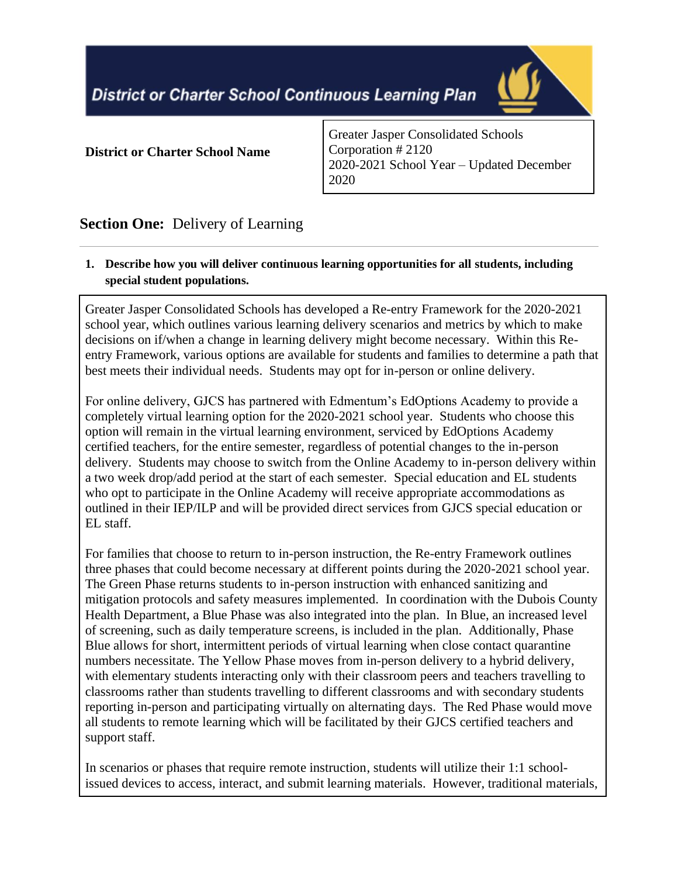**District or Charter School Continuous Learning Plan** 



#### **District or Charter School Name**

Greater Jasper Consolidated Schools Corporation # 2120 2020-2021 School Year – Updated December 2020

# **Section One:** Delivery of Learning

## **1. Describe how you will deliver continuous learning opportunities for all students, including special student populations.**

Greater Jasper Consolidated Schools has developed a Re-entry Framework for the 2020-2021 school year, which outlines various learning delivery scenarios and metrics by which to make decisions on if/when a change in learning delivery might become necessary. Within this Reentry Framework, various options are available for students and families to determine a path that best meets their individual needs. Students may opt for in-person or online delivery.

For online delivery, GJCS has partnered with Edmentum's EdOptions Academy to provide a completely virtual learning option for the 2020-2021 school year. Students who choose this option will remain in the virtual learning environment, serviced by EdOptions Academy certified teachers, for the entire semester, regardless of potential changes to the in-person delivery. Students may choose to switch from the Online Academy to in-person delivery within a two week drop/add period at the start of each semester. Special education and EL students who opt to participate in the Online Academy will receive appropriate accommodations as outlined in their IEP/ILP and will be provided direct services from GJCS special education or EL staff.

For families that choose to return to in-person instruction, the Re-entry Framework outlines three phases that could become necessary at different points during the 2020-2021 school year. The Green Phase returns students to in-person instruction with enhanced sanitizing and mitigation protocols and safety measures implemented. In coordination with the Dubois County Health Department, a Blue Phase was also integrated into the plan. In Blue, an increased level of screening, such as daily temperature screens, is included in the plan. Additionally, Phase Blue allows for short, intermittent periods of virtual learning when close contact quarantine numbers necessitate. The Yellow Phase moves from in-person delivery to a hybrid delivery, with elementary students interacting only with their classroom peers and teachers travelling to classrooms rather than students travelling to different classrooms and with secondary students reporting in-person and participating virtually on alternating days. The Red Phase would move all students to remote learning which will be facilitated by their GJCS certified teachers and support staff.

In scenarios or phases that require remote instruction, students will utilize their 1:1 schoolissued devices to access, interact, and submit learning materials. However, traditional materials,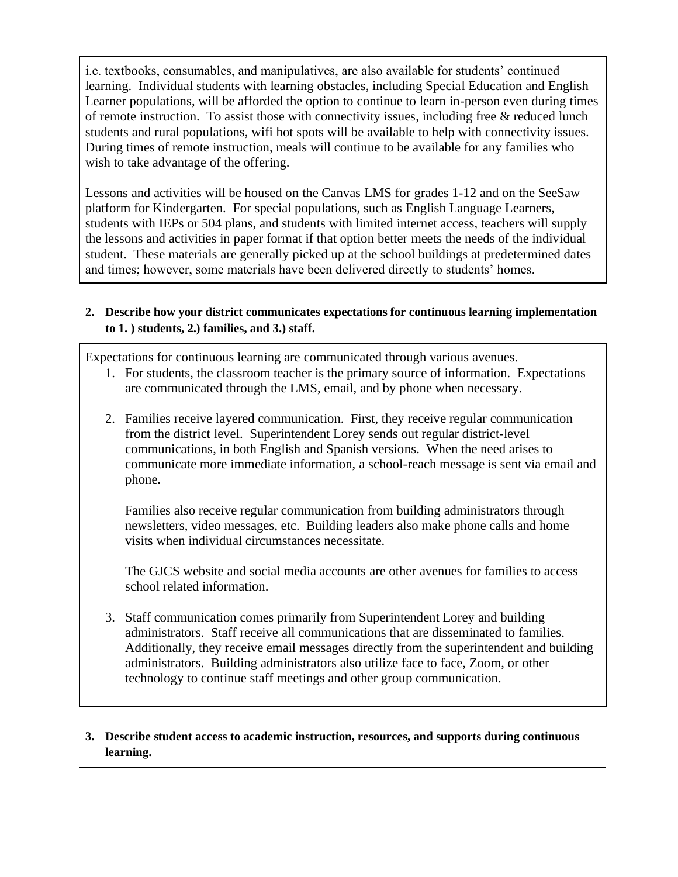i.e. textbooks, consumables, and manipulatives, are also available for students' continued learning. Individual students with learning obstacles, including Special Education and English Learner populations, will be afforded the option to continue to learn in-person even during times of remote instruction. To assist those with connectivity issues, including free  $\&$  reduced lunch students and rural populations, wifi hot spots will be available to help with connectivity issues. During times of remote instruction, meals will continue to be available for any families who wish to take advantage of the offering.

Lessons and activities will be housed on the Canvas LMS for grades 1-12 and on the SeeSaw platform for Kindergarten. For special populations, such as English Language Learners, students with IEPs or 504 plans, and students with limited internet access, teachers will supply the lessons and activities in paper format if that option better meets the needs of the individual student. These materials are generally picked up at the school buildings at predetermined dates and times; however, some materials have been delivered directly to students' homes.

### **2. Describe how your district communicates expectations for continuous learning implementation to 1. ) students, 2.) families, and 3.) staff.**

Expectations for continuous learning are communicated through various avenues.

- 1. For students, the classroom teacher is the primary source of information. Expectations are communicated through the LMS, email, and by phone when necessary.
- 2. Families receive layered communication. First, they receive regular communication from the district level. Superintendent Lorey sends out regular district-level communications, in both English and Spanish versions. When the need arises to communicate more immediate information, a school-reach message is sent via email and phone.

 Families also receive regular communication from building administrators through newsletters, video messages, etc. Building leaders also make phone calls and home visits when individual circumstances necessitate.

 The GJCS website and social media accounts are other avenues for families to access school related information.

3. Staff communication comes primarily from Superintendent Lorey and building administrators. Staff receive all communications that are disseminated to families. Additionally, they receive email messages directly from the superintendent and building administrators. Building administrators also utilize face to face, Zoom, or other technology to continue staff meetings and other group communication.

## **3. Describe student access to academic instruction, resources, and supports during continuous learning.**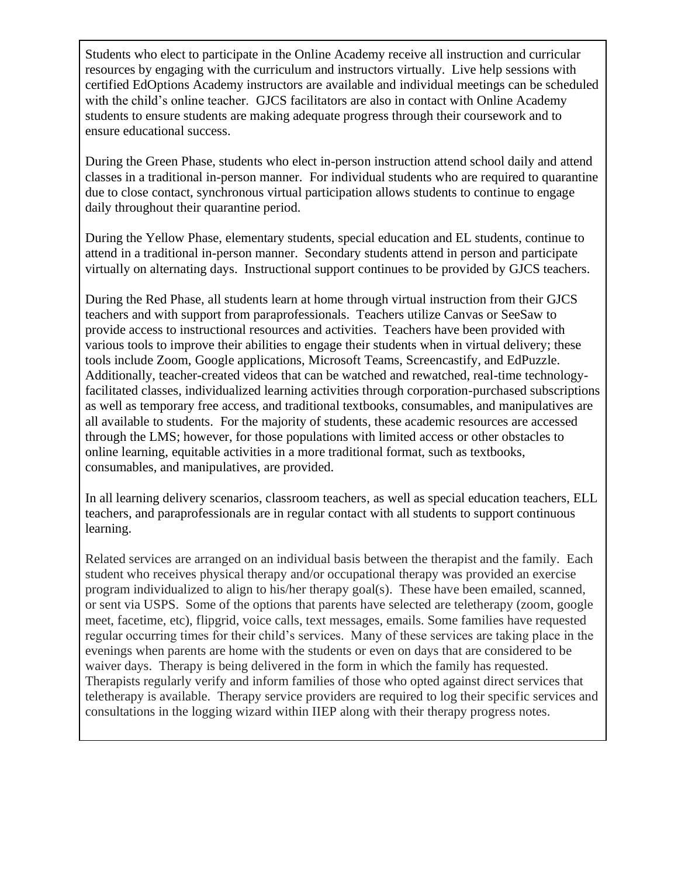Students who elect to participate in the Online Academy receive all instruction and curricular resources by engaging with the curriculum and instructors virtually. Live help sessions with certified EdOptions Academy instructors are available and individual meetings can be scheduled with the child's online teacher. GJCS facilitators are also in contact with Online Academy students to ensure students are making adequate progress through their coursework and to ensure educational success.

During the Green Phase, students who elect in-person instruction attend school daily and attend classes in a traditional in-person manner. For individual students who are required to quarantine due to close contact, synchronous virtual participation allows students to continue to engage daily throughout their quarantine period.

During the Yellow Phase, elementary students, special education and EL students, continue to attend in a traditional in-person manner. Secondary students attend in person and participate virtually on alternating days. Instructional support continues to be provided by GJCS teachers.

During the Red Phase, all students learn at home through virtual instruction from their GJCS teachers and with support from paraprofessionals. Teachers utilize Canvas or SeeSaw to provide access to instructional resources and activities. Teachers have been provided with various tools to improve their abilities to engage their students when in virtual delivery; these tools include Zoom, Google applications, Microsoft Teams, Screencastify, and EdPuzzle. Additionally, teacher-created videos that can be watched and rewatched, real-time technologyfacilitated classes, individualized learning activities through corporation-purchased subscriptions as well as temporary free access, and traditional textbooks, consumables, and manipulatives are all available to students. For the majority of students, these academic resources are accessed through the LMS; however, for those populations with limited access or other obstacles to online learning, equitable activities in a more traditional format, such as textbooks, consumables, and manipulatives, are provided.

In all learning delivery scenarios, classroom teachers, as well as special education teachers, ELL teachers, and paraprofessionals are in regular contact with all students to support continuous learning.

Related services are arranged on an individual basis between the therapist and the family. Each student who receives physical therapy and/or occupational therapy was provided an exercise program individualized to align to his/her therapy goal(s). These have been emailed, scanned, or sent via USPS. Some of the options that parents have selected are teletherapy (zoom, google meet, facetime, etc), flipgrid, voice calls, text messages, emails. Some families have requested regular occurring times for their child's services. Many of these services are taking place in the evenings when parents are home with the students or even on days that are considered to be waiver days. Therapy is being delivered in the form in which the family has requested. Therapists regularly verify and inform families of those who opted against direct services that teletherapy is available. Therapy service providers are required to log their specific services and consultations in the logging wizard within IIEP along with their therapy progress notes.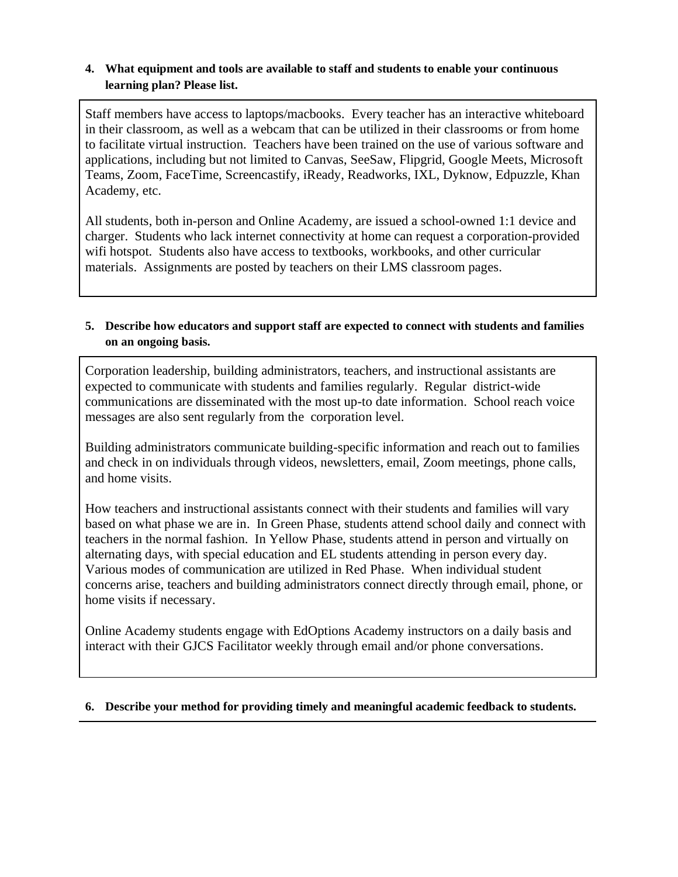#### **4. What equipment and tools are available to staff and students to enable your continuous learning plan? Please list.**

Staff members have access to laptops/macbooks. Every teacher has an interactive whiteboard in their classroom, as well as a webcam that can be utilized in their classrooms or from home to facilitate virtual instruction. Teachers have been trained on the use of various software and applications, including but not limited to Canvas, SeeSaw, Flipgrid, Google Meets, Microsoft Teams, Zoom, FaceTime, Screencastify, iReady, Readworks, IXL, Dyknow, Edpuzzle, Khan Academy, etc.

All students, both in-person and Online Academy, are issued a school-owned 1:1 device and charger. Students who lack internet connectivity at home can request a corporation-provided wifi hotspot. Students also have access to textbooks, workbooks, and other curricular materials. Assignments are posted by teachers on their LMS classroom pages.

### **5. Describe how educators and support staff are expected to connect with students and families on an ongoing basis.**

Corporation leadership, building administrators, teachers, and instructional assistants are expected to communicate with students and families regularly. Regular district-wide communications are disseminated with the most up-to date information. School reach voice messages are also sent regularly from the corporation level.

Building administrators communicate building-specific information and reach out to families and check in on individuals through videos, newsletters, email, Zoom meetings, phone calls, and home visits.

How teachers and instructional assistants connect with their students and families will vary based on what phase we are in. In Green Phase, students attend school daily and connect with teachers in the normal fashion. In Yellow Phase, students attend in person and virtually on alternating days, with special education and EL students attending in person every day. Various modes of communication are utilized in Red Phase. When individual student concerns arise, teachers and building administrators connect directly through email, phone, or home visits if necessary.

Online Academy students engage with EdOptions Academy instructors on a daily basis and interact with their GJCS Facilitator weekly through email and/or phone conversations.

#### **6. Describe your method for providing timely and meaningful academic feedback to students.**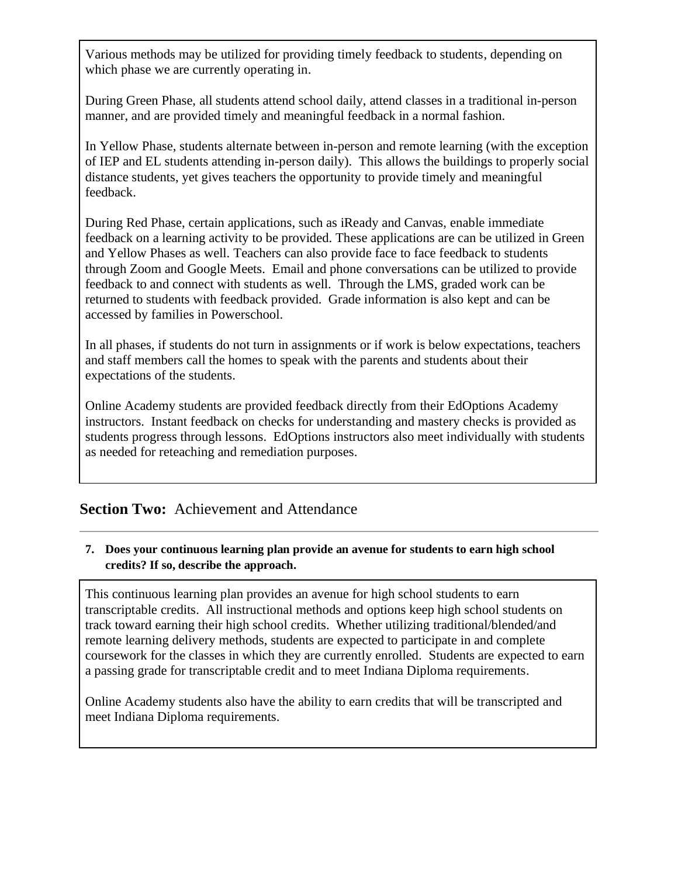Various methods may be utilized for providing timely feedback to students, depending on which phase we are currently operating in.

During Green Phase, all students attend school daily, attend classes in a traditional in-person manner, and are provided timely and meaningful feedback in a normal fashion.

In Yellow Phase, students alternate between in-person and remote learning (with the exception of IEP and EL students attending in-person daily). This allows the buildings to properly social distance students, yet gives teachers the opportunity to provide timely and meaningful feedback.

During Red Phase, certain applications, such as iReady and Canvas, enable immediate feedback on a learning activity to be provided. These applications are can be utilized in Green and Yellow Phases as well. Teachers can also provide face to face feedback to students through Zoom and Google Meets. Email and phone conversations can be utilized to provide feedback to and connect with students as well. Through the LMS, graded work can be returned to students with feedback provided. Grade information is also kept and can be accessed by families in Powerschool.

In all phases, if students do not turn in assignments or if work is below expectations, teachers and staff members call the homes to speak with the parents and students about their expectations of the students.

Online Academy students are provided feedback directly from their EdOptions Academy instructors. Instant feedback on checks for understanding and mastery checks is provided as students progress through lessons. EdOptions instructors also meet individually with students as needed for reteaching and remediation purposes.

## **Section Two:** Achievement and Attendance

## **7. Does your continuous learning plan provide an avenue for students to earn high school credits? If so, describe the approach.**

This continuous learning plan provides an avenue for high school students to earn transcriptable credits. All instructional methods and options keep high school students on track toward earning their high school credits. Whether utilizing traditional/blended/and remote learning delivery methods, students are expected to participate in and complete coursework for the classes in which they are currently enrolled. Students are expected to earn a passing grade for transcriptable credit and to meet Indiana Diploma requirements.

Online Academy students also have the ability to earn credits that will be transcripted and meet Indiana Diploma requirements.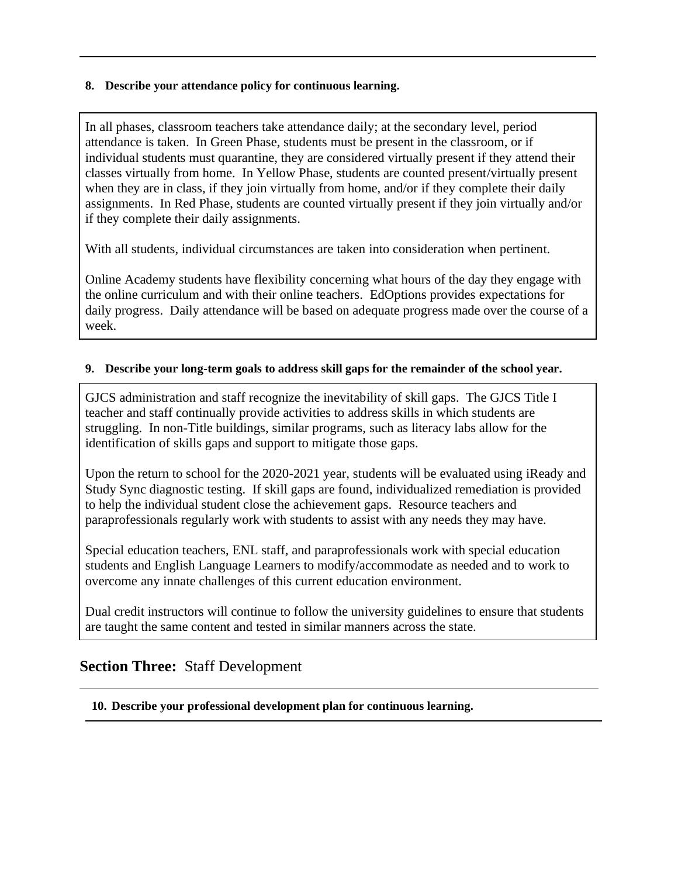#### **8. Describe your attendance policy for continuous learning.**

In all phases, classroom teachers take attendance daily; at the secondary level, period attendance is taken. In Green Phase, students must be present in the classroom, or if individual students must quarantine, they are considered virtually present if they attend their classes virtually from home. In Yellow Phase, students are counted present/virtually present when they are in class, if they join virtually from home, and/or if they complete their daily assignments. In Red Phase, students are counted virtually present if they join virtually and/or if they complete their daily assignments.

With all students, individual circumstances are taken into consideration when pertinent.

Online Academy students have flexibility concerning what hours of the day they engage with the online curriculum and with their online teachers. EdOptions provides expectations for daily progress. Daily attendance will be based on adequate progress made over the course of a week.

#### **9. Describe your long-term goals to address skill gaps for the remainder of the school year.**

GJCS administration and staff recognize the inevitability of skill gaps. The GJCS Title I teacher and staff continually provide activities to address skills in which students are struggling. In non-Title buildings, similar programs, such as literacy labs allow for the identification of skills gaps and support to mitigate those gaps.

Upon the return to school for the 2020-2021 year, students will be evaluated using iReady and Study Sync diagnostic testing. If skill gaps are found, individualized remediation is provided to help the individual student close the achievement gaps. Resource teachers and paraprofessionals regularly work with students to assist with any needs they may have.

Special education teachers, ENL staff, and paraprofessionals work with special education students and English Language Learners to modify/accommodate as needed and to work to overcome any innate challenges of this current education environment.

Dual credit instructors will continue to follow the university guidelines to ensure that students are taught the same content and tested in similar manners across the state.

## **Section Three:** Staff Development

**10. Describe your professional development plan for continuous learning.**